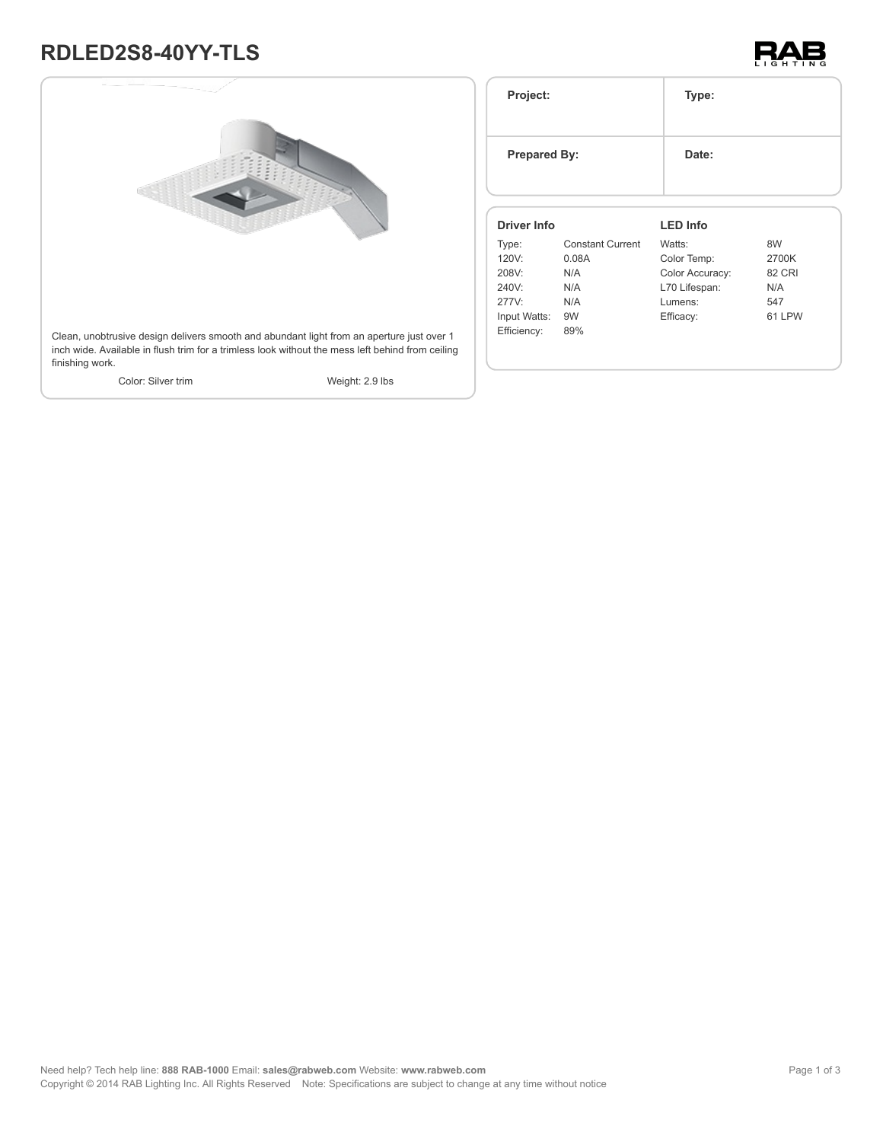# **RDLED2S8-40YY-TLS**





| Project:<br><b>Prepared By:</b> |                         | Type:           |               |
|---------------------------------|-------------------------|-----------------|---------------|
|                                 |                         | Date:           |               |
| <b>Driver Info</b>              |                         | <b>LED Info</b> |               |
| Type:                           | <b>Constant Current</b> | Watts:          | 8W            |
| 120V:                           | 0.08A                   | Color Temp:     | 2700K         |
| 208V:                           | N/A                     | Color Accuracy: | <b>82 CRI</b> |
| 240V:                           | N/A                     | L70 Lifespan:   | N/A           |
| 277V:                           | N/A                     | Lumens:         | 547           |
| Input Watts:                    | 9W                      | Efficacy:       | 61 LPW        |
| Efficiency:                     | 89%                     |                 |               |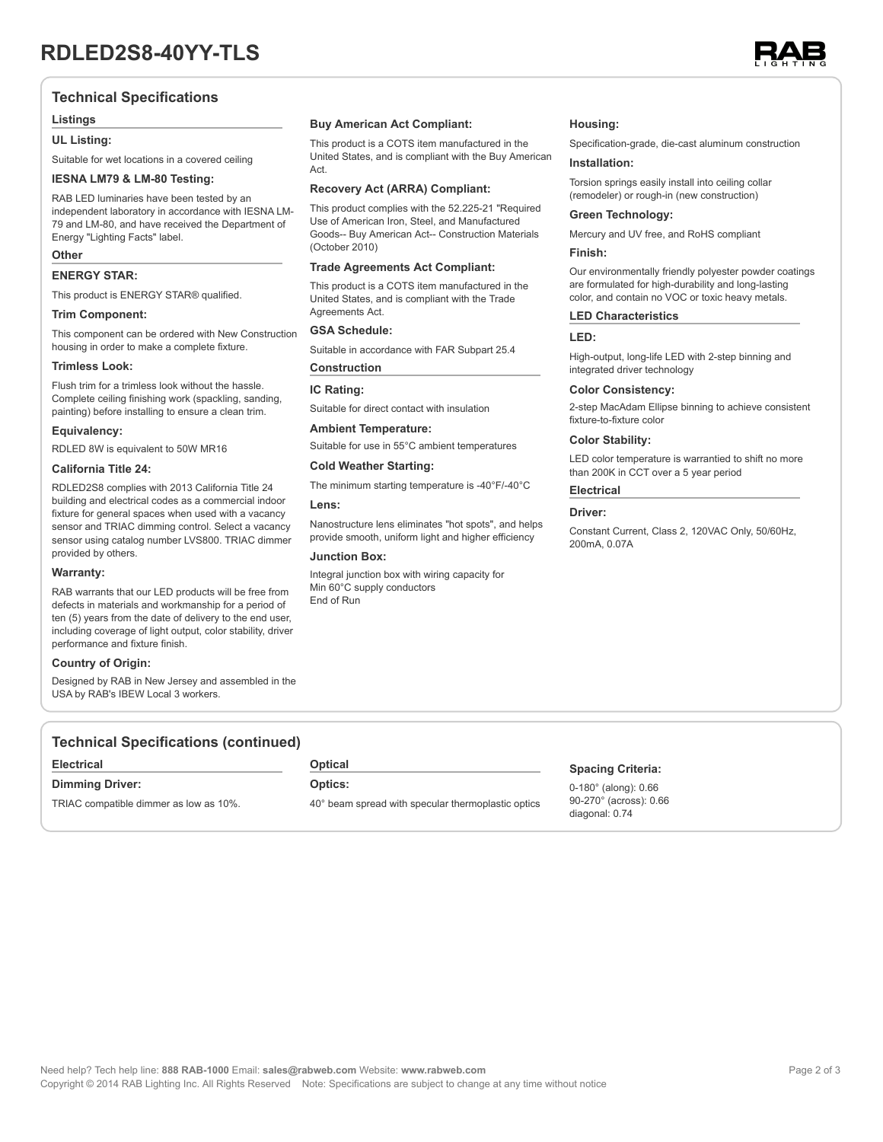

# **Technical Specifications**

#### **Listings**

#### **UL Listing:**

Suitable for wet locations in a covered ceiling

#### **IESNA LM79 & LM-80 Testing:**

RAB LED luminaries have been tested by an independent laboratory in accordance with IESNA LM-79 and LM-80, and have received the Department of Energy "Lighting Facts" label.

#### **Other**

#### **ENERGY STAR:**

This product is ENERGY STAR® qualified.

#### **Trim Component:**

This component can be ordered with New Construction housing in order to make a complete fixture.

#### **Trimless Look:**

Flush trim for a trimless look without the hassle. Complete ceiling finishing work (spackling, sanding, painting) before installing to ensure a clean trim.

#### **Equivalency:**

RDLED 8W is equivalent to 50W MR16

# **California Title 24:**

RDLED2S8 complies with 2013 California Title 24 building and electrical codes as a commercial indoor fixture for general spaces when used with a vacancy sensor and TRIAC dimming control. Select a vacancy sensor using catalog number LVS800. TRIAC dimmer provided by others.

#### **Warranty:**

RAB warrants that our LED products will be free from defects in materials and workmanship for a period of ten (5) years from the date of delivery to the end user, including coverage of light output, color stability, driver performance and fixture finish.

#### **Country of Origin:**

Designed by RAB in New Jersey and assembled in the USA by RAB's IBEW Local 3 workers.

### **Buy American Act Compliant:**

This product is a COTS item manufactured in the United States, and is compliant with the Buy American Act.

#### **Recovery Act (ARRA) Compliant:**

This product complies with the 52.225-21 "Required Use of American Iron, Steel, and Manufactured Goods-- Buy American Act-- Construction Materials (October 2010)

#### **Trade Agreements Act Compliant:**

This product is a COTS item manufactured in the United States, and is compliant with the Trade Agreements Act.

#### **GSA Schedule:**

Suitable in accordance with FAR Subpart 25.4

# **Construction**

**IC Rating:**

Suitable for direct contact with insulation

# **Ambient Temperature:**

Suitable for use in 55°C ambient temperatures

# **Cold Weather Starting:**

The minimum starting temperature is -40°F/-40°C

#### **Lens:**

Nanostructure lens eliminates "hot spots", and helps provide smooth, uniform light and higher efficiency

#### **Junction Box:**

Integral junction box with wiring capacity for Min 60°C supply conductors End of Run

#### **Housing:**

Specification-grade, die-cast aluminum construction

#### **Installation:**

Torsion springs easily install into ceiling collar (remodeler) or rough-in (new construction)

#### **Green Technology:**

Mercury and UV free, and RoHS compliant

# **Finish:**

Our environmentally friendly polyester powder coatings are formulated for high-durability and long-lasting color, and contain no VOC or toxic heavy metals.

#### **LED Characteristics**

#### **LED:**

High-output, long-life LED with 2-step binning and integrated driver technology

#### **Color Consistency:**

2-step MacAdam Ellipse binning to achieve consistent fixture-to-fixture color

#### **Color Stability:**

LED color temperature is warrantied to shift no more than 200K in CCT over a 5 year period

### **Electrical**

#### **Driver:**

Constant Current, Class 2, 120VAC Only, 50/60Hz, 200mA, 0.07A

# **Technical Specifications (continued)**

#### **Electrical**

**Dimming Driver:**

TRIAC compatible dimmer as low as 10%.

**Optical**

# **Optics:**

40° beam spread with specular thermoplastic optics

# **Spacing Criteria:**

0-180° (along): 0.66 90-270° (across): 0.66 diagonal: 0.74